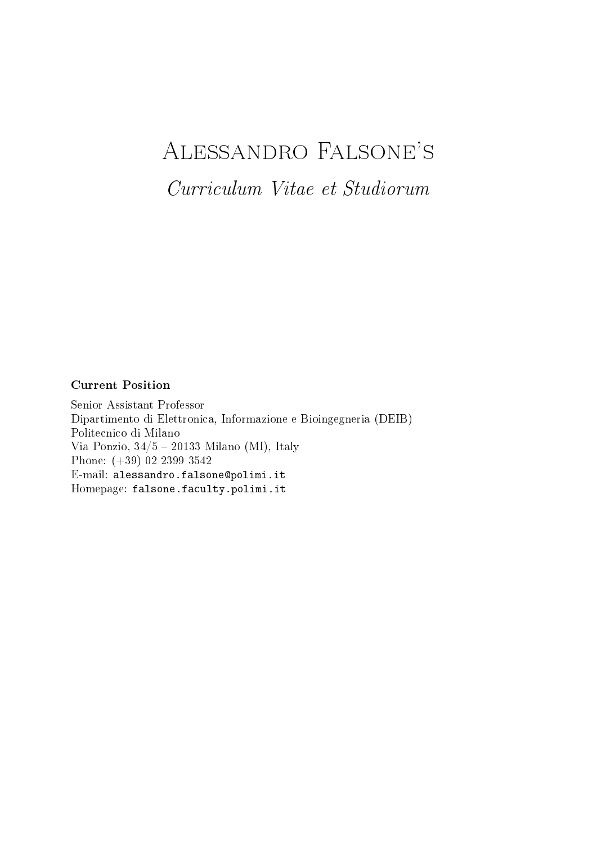# Alessandro Falsone's

Curriculum Vitae et Studiorum

# Current Position

Senior Assistant Professor Dipartimento di Elettronica, Informazione e Bioingegneria (DEIB) Politecnico di Milano Via Ponzio,  $34/5 - 20133$  Milano (MI), Italy Phone: (+39) 02 2399 3542 E-mail: alessandro.falsone@polimi.it Homepage: [falsone.faculty.polimi.it](https://falsone.faculty.polimi.it/)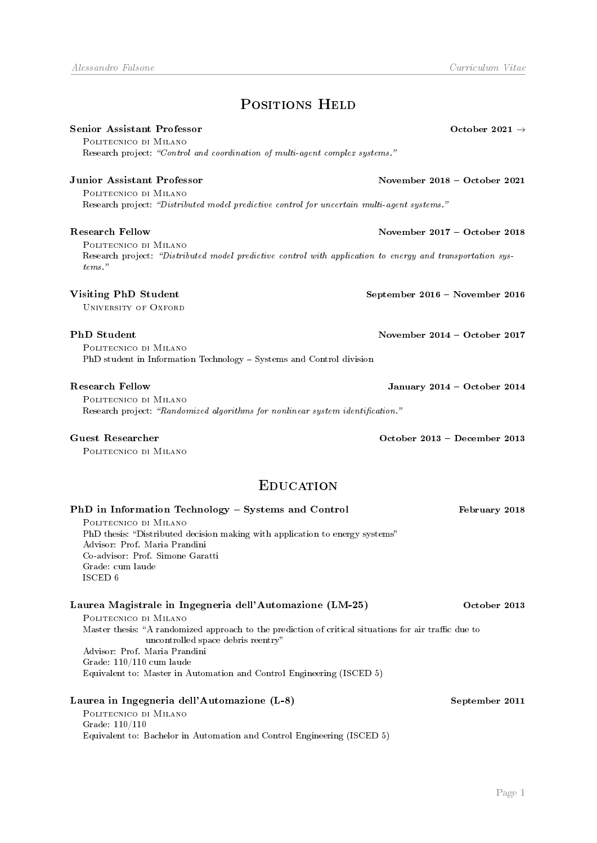# POSITIONS HELD

# Senior Assistant Professor **October 2021** → October 2021 →

Politecnico di Milano Research project: "Control and coordination of multi-agent complex systems."

Politecnico di Milano Research project: "Distributed model predictive control for uncertain multi-agent systems."

Politecnico di Milano Research project: "Distributed model predictive control with application to energy and transportation systems."

# Visiting PhD Student September 2016 - November 2016

UNIVERSITY OF OXFORD

Politecnico di Milano PhD student in Information Technology - Systems and Control division

Politecnico di Milano Research project: "Randomized algorithms for nonlinear system identification."

Politecnico di Milano

# **EDUCATION**

| PhD in Information Technology – Systems and Control                                                                                         | February 2018  |
|---------------------------------------------------------------------------------------------------------------------------------------------|----------------|
| POLITECNICO DI MILANO                                                                                                                       |                |
| PhD thesis: "Distributed decision making with application to energy systems"                                                                |                |
| Advisor: Prof. Maria Prandini                                                                                                               |                |
| Co-advisor: Prof. Simone Garatti                                                                                                            |                |
| Grade: cum laude                                                                                                                            |                |
| ISCED 6                                                                                                                                     |                |
| Laurea Magistrale in Ingegneria dell'Automazione (LM-25)                                                                                    | October 2013   |
| POLITECNICO DI MILANO                                                                                                                       |                |
| Master thesis: "A randomized approach to the prediction of critical situations for air traffic due to<br>uncontrolled space debris reentry" |                |
| Advisor: Prof. Maria Prandini                                                                                                               |                |
| Grade: $110/110$ cum laude                                                                                                                  |                |
| Equivalent to: Master in Automation and Control Engineering (ISCED 5)                                                                       |                |
| Laurea in Ingegneria dell'Automazione (L-8)                                                                                                 | September 2011 |
| POLITECNICO DI MILANO                                                                                                                       |                |
| Grade: $110/110$                                                                                                                            |                |
| Equivalent to: Bachelor in Automation and Control Engineering (ISCED 5)                                                                     |                |

Junior Assistant Professor November 2018 October 2021

Research Fellow November 2017 October 2018

PhD Student November 2014 – October 2017

Research Fellow January 2014 - October 2014

Guest Researcher October 2013 December 2013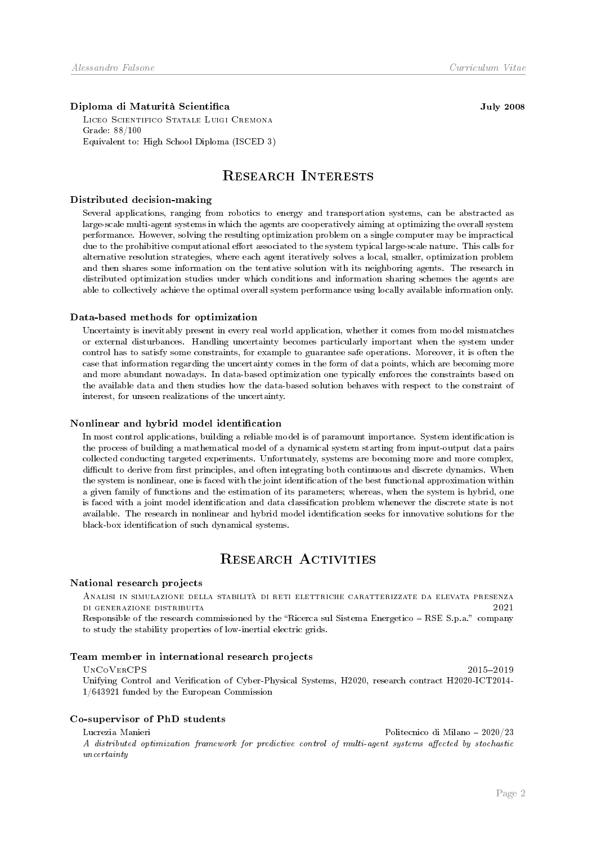### Diploma di Maturità Scientifica **July 2008** and July 2008

Liceo Scientifico Statale Luigi Cremona Grade: 88/100 Equivalent to: High School Diploma (ISCED 3)

# Research Interests

### Distributed decision-making

Several applications, ranging from robotics to energy and transportation systems, can be abstracted as large-scale multi-agent systems in which the agents are cooperatively aiming at optimizing the overall system performance. However, solving the resulting optimization problem on a single computer may be impractical due to the prohibitive computational effort associated to the system typical large-scale nature. This calls for alternative resolution strategies, where each agent iteratively solves a local, smaller, optimization problem and then shares some information on the tentative solution with its neighboring agents. The research in distributed optimization studies under which conditions and information sharing schemes the agents are able to collectively achieve the optimal overall system performance using locally available information only.

### Data-based methods for optimization

Uncertainty is inevitably present in every real world application, whether it comes from model mismatches or external disturbances. Handling uncertainty becomes particularly important when the system under control has to satisfy some constraints, for example to guarantee safe operations. Moreover, it is often the case that information regarding the uncertainty comes in the form of data points, which are becoming more and more abundant nowadays. In data-based optimization one typically enforces the constraints based on the available data and then studies how the data-based solution behaves with respect to the constraint of interest, for unseen realizations of the uncertainty.

### Nonlinear and hybrid model identification

In most control applications, building a reliable model is of paramount importance. System identification is the process of building a mathematical model of a dynamical system starting from input-output data pairs collected conducting targeted experiments. Unfortunately, systems are becoming more and more complex, difficult to derive from first principles, and often integrating both continuous and discrete dynamics. When the system is nonlinear, one is faced with the joint identification of the best functional approximation within a given family of functions and the estimation of its parameters; whereas, when the system is hybrid, one is faced with a joint model identification and data classification problem whenever the discrete state is not available. The research in nonlinear and hybrid model identification seeks for innovative solutions for the black-box identification of such dynamical systems.

# RESEARCH ACTIVITIES

### National research projects

Analisi in simulazione della stabilità di reti elettriche caratterizzate da elevata presenza di generazione distribuita 2021

Responsible of the research commissioned by the "Ricerca sul Sistema Energetico - RSE S.p.a." company to study the stability properties of low-inertial electric grids.

### Team member in international research projects

### $\text{UNCo}}$ VERCPS 2015-2019

Unifying Control and Verification of Cyber-Physical Systems, H2020, research contract H2020-ICT2014-1/643921 funded by the European Commission

### Co-supervisor of PhD students

Lucrezia Manieri Politecnico di Milano 2020/23

A distributed optimization framework for predictive control of multi-agent systems affected by stochastic uncertainty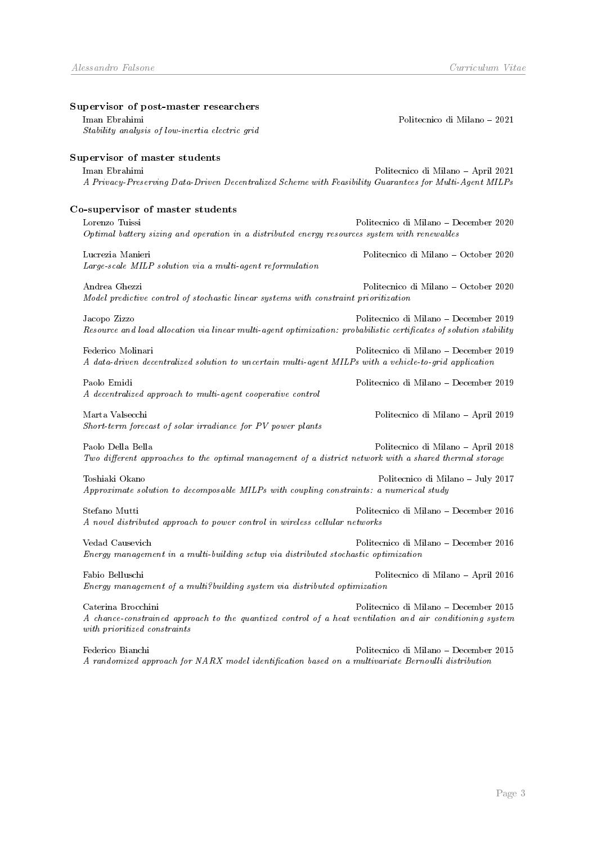| Supervisor of post-master researchers                                                                              |                                       |
|--------------------------------------------------------------------------------------------------------------------|---------------------------------------|
| Iman Ebrahimi                                                                                                      | Politecnico di Milano – 2021          |
| Stability analysis of low-inertia electric grid                                                                    |                                       |
| Supervisor of master students                                                                                      |                                       |
| Iman Ebrahimi                                                                                                      | Politecnico di Milano - April 2021    |
| A Privacy-Preserving Data-Driven Decentralized Scheme with Feasibility Guarantees for Multi-Agent MILPs            |                                       |
| Co-supervisor of master students                                                                                   |                                       |
| Lorenzo Tuissi                                                                                                     | Politecnico di Milano - December 2020 |
| Optimal battery sizing and operation in a distributed energy resources system with renewables                      |                                       |
| Lucrezia Manieri                                                                                                   | Politecnico di Milano - October 2020  |
| Large-scale MILP solution via a multi-agent reformulation                                                          |                                       |
| Andrea Ghezzi                                                                                                      | Politecnico di Milano - October 2020  |
| Model predictive control of stochastic linear systems with constraint prioritization                               |                                       |
| Jacopo Zizzo                                                                                                       | Politecnico di Milano – December 2019 |
| Resource and load allocation via linear multi-agent optimization: probabilistic certificates of solution stability |                                       |
| Federico Molinari                                                                                                  | Politecnico di Milano - December 2019 |
| A data-driven decentralized solution to uncertain multi-agent MILPs with a vehicle-to-grid application             |                                       |
| Paolo Emidi                                                                                                        | Politecnico di Milano - December 2019 |
| A decentralized approach to multi-agent cooperative control                                                        |                                       |
| Marta Valsecchi                                                                                                    | Politecnico di Milano - April 2019    |
| Short-term forecast of solar irradiance for PV power plants                                                        |                                       |
| Paolo Della Bella                                                                                                  | Politecnico di Milano - April 2018    |
| Two different approaches to the optimal management of a district network with a shared thermal storage             |                                       |
| Toshiaki Okano                                                                                                     | Politecnico di Milano - July 2017     |
| Approximate solution to decomposable MILPs with coupling constraints: a numerical study                            |                                       |
| Stefano Mutti                                                                                                      | Politecnico di Milano - December 2016 |
| A novel distributed approach to power control in wireless cellular networks                                        |                                       |
| Vedad Causevich                                                                                                    | Politecnico di Milano – December 2016 |
| Energy management in a multi-building setup via distributed stochastic optimization                                |                                       |
| Fabio Belluschi                                                                                                    | Politecnico di Milano - April 2016    |
| Energy management of a multi?building system via distributed optimization                                          |                                       |
| Caterina Brocchini                                                                                                 | Politecnico di Milano - December 2015 |
| A chance-constrained approach to the quantized control of a heat ventilation and air conditioning system           |                                       |
| with prioritized constraints                                                                                       |                                       |

Federico Bianchi Politecnico di Milano December 2015 A randomized approach for  $NARX$  model identification based on a multivariate Bernoulli distribution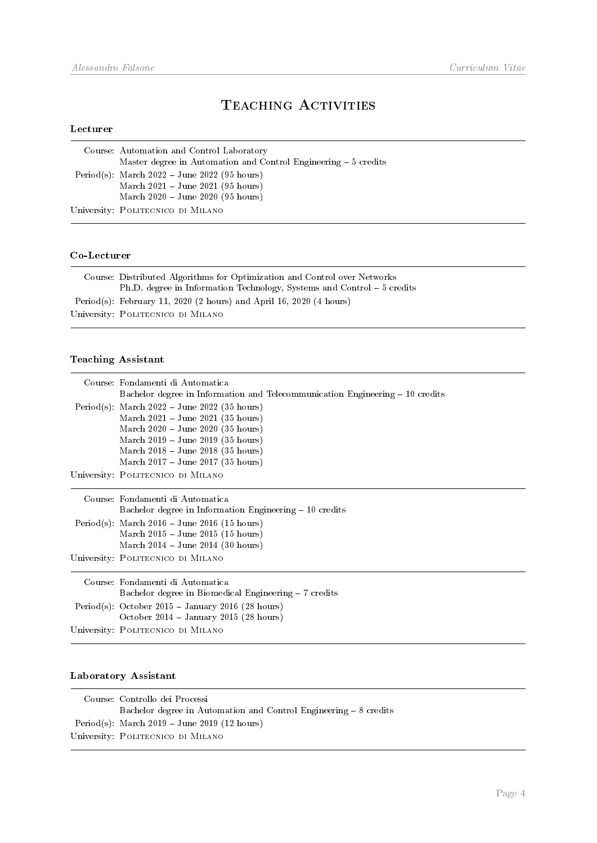# TEACHING ACTIVITIES

# Lecturer

| Course: Automation and Control Laboratory                        |
|------------------------------------------------------------------|
| Master degree in Automation and Control Engineering $-5$ credits |
| Period(s): March $2022 - June 2022$ (95 hours)                   |
| March $2021 - June 2021$ (95 hours)                              |
| March $2020 - June 2020 (95 hours)$                              |
| University: POLITECNICO DI MILANO                                |

# Co-Lecturer

| Course: Distributed Algorithms for Optimization and Control over Networks |
|---------------------------------------------------------------------------|
| Ph.D. degree in Information Technology, Systems and Control – 5 credits   |
| Period(s): February 11, 2020 (2 hours) and April 16, 2020 (4 hours)       |
| University: POLITECNICO DI MILANO                                         |
|                                                                           |

# Teaching Assistant

| Course: Fondamenti di Automatica                                               |
|--------------------------------------------------------------------------------|
| Bachelor degree in Information and Telecommunication Engineering $-10$ credits |
| Period(s): March $2022 - June 2022$ (35 hours)                                 |
| March $2021 - June 2021$ (35 hours)                                            |
| March $2020 - June 2020$ (35 hours)                                            |
| March $2019 - June 2019$ (35 hours)                                            |
| March 2018 - June 2018 (35 hours)                                              |
| March $2017 - June 2017 (35 hours)$                                            |
| University: POLITECNICO DI MILANO                                              |
|                                                                                |
| Course: Fondamenti di Automatica                                               |
| Bachelor degree in Information Engineering – 10 credits                        |
| Period(s): March $2016 - \text{June } 2016$ (15 hours)                         |
| March 2015 – June 2015 (15 hours)                                              |
| March $2014 - June 2014 (30 hours)$                                            |
| University: POLITECNICO DI MILANO                                              |
|                                                                                |
| Course: Fondamenti di Automatica                                               |
| Bachelor degree in Biomedical Engineering – 7 credits                          |
| Period(s): October 2015 - January 2016 (28 hours)                              |
| October 2014 – January 2015 (28 hours)                                         |
| University: POLITECNICO DI MILANO                                              |
|                                                                                |

# Laboratory Assistant

| Course: Controllo dei Processi                                    |
|-------------------------------------------------------------------|
| Bachelor degree in Automation and Control Engineering – 8 credits |
| Period(s): March $2019 - June 2019$ (12 hours)                    |
| University: POLITECNICO DI MILANO                                 |
|                                                                   |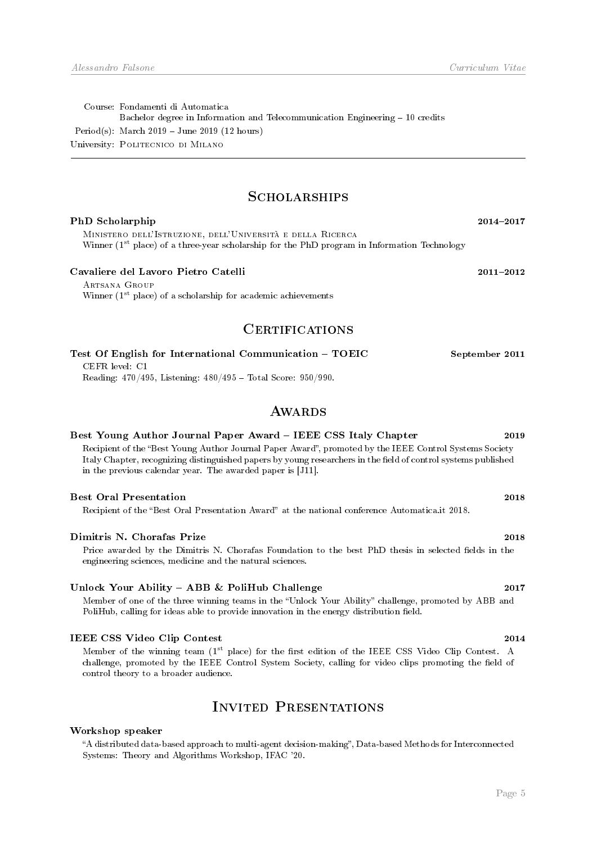Course: Fondamenti di Automatica Bachelor degree in Information and Telecommunication Engineering - 10 credits Period(s): March 2019 June 2019 (12 hours) University: Politecnico di Milano

# **SCHOLARSHIPS**

| PhD Scholarphip                                                                                                                                                                                                                                                                                                                                          | 2014-2017      |
|----------------------------------------------------------------------------------------------------------------------------------------------------------------------------------------------------------------------------------------------------------------------------------------------------------------------------------------------------------|----------------|
| MINISTERO DELL'ISTRUZIONE, DELL'UNIVERSITÀ E DELLA RICERCA<br>Winner ( $1st$ place) of a three-year scholarship for the PhD program in Information Technology                                                                                                                                                                                            |                |
| Cavaliere del Lavoro Pietro Catelli                                                                                                                                                                                                                                                                                                                      | $2011 - 2012$  |
| ARTSANA GROUP<br>Winner $(1st$ place) of a scholarship for academic achievements                                                                                                                                                                                                                                                                         |                |
| <b>CERTIFICATIONS</b>                                                                                                                                                                                                                                                                                                                                    |                |
| Test Of English for International Communication - TOEIC<br>CEFR level: C1<br>Reading: $470/495$ , Listening: $480/495$ - Total Score: $950/990$ .                                                                                                                                                                                                        | September 2011 |
| <b>AWARDS</b>                                                                                                                                                                                                                                                                                                                                            |                |
| Best Young Author Journal Paper Award – IEEE CSS Italy Chapter<br>Recipient of the "Best Young Author Journal Paper Award", promoted by the IEEE Control Systems Society<br>Italy Chapter, recognizing distinguished papers by young researchers in the field of control systems published<br>in the previous calendar year. The awarded paper is [J11]. | 2019           |
| <b>Best Oral Presentation</b><br>Recipient of the "Best Oral Presentation Award" at the national conference Automatica.it 2018.                                                                                                                                                                                                                          | 2018           |
| Dimitris N. Chorafas Prize<br>Price awarded by the Dimitris N. Chorafas Foundation to the best PhD thesis in selected fields in the<br>engineering sciences, medicine and the natural sciences.                                                                                                                                                          | 2018           |

# Unlock Your Ability - ABB & PoliHub Challenge 2017

Member of one of the three winning teams in the "Unlock Your Ability" challenge, promoted by ABB and PoliHub, calling for ideas able to provide innovation in the energy distribution field.

# IEEE CSS Video Clip Contest 2014

Member of the winning team (1st place) for the first edition of the IEEE CSS Video Clip Contest. A challenge, promoted by the IEEE Control System Society, calling for video clips promoting the field of control theory to a broader audience.

# Invited Presentations

# Workshop speaker

A distributed data-based approach to multi-agent decision-making, Data-based Methods for Interconnected Systems: Theory and Algorithms Workshop, IFAC '20.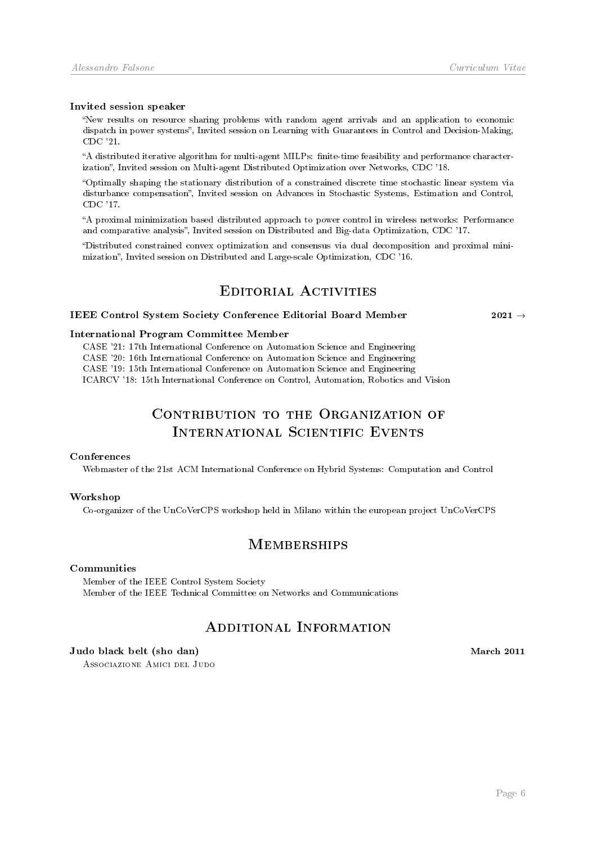### Invited session speaker

New results on resource sharing problems with random agent arrivals and an application to economic dispatch in power systems", Invited session on Learning with Guarantees in Control and Decision-Making, CDC '21.

A distributed iterative algorithm for multi-agent MILPs: nite-time feasibility and performance characterization", Invited session on Multi-agent Distributed Optimization over Networks, CDC '18.

Optimally shaping the stationary distribution of a constrained discrete time stochastic linear system via disturbance compensation", Invited session on Advances in Stochastic Systems, Estimation and Control, CDC '17.

A proximal minimization based distributed approach to power control in wireless networks: Performance and comparative analysis". Invited session on Distributed and Big-data Optimization, CDC '17.

Distributed constrained convex optimization and consensus via dual decomposition and proximal minimization, Invited session on Distributed and Large-scale Optimization, CDC '16.

# EDITORIAL ACTIVITIES

# IEEE Control System Society Conference Editorial Board Member 2021  $\rightarrow$

# International Program Committee Member

CASE '21: 17th International Conference on Automation Science and Engineering CASE '20: 16th International Conference on Automation Science and Engineering CASE '19: 15th International Conference on Automation Science and Engineering ICARCV '18: 15th International Conference on Control, Automation, Robotics and Vision

# CONTRIBUTION TO THE ORGANIZATION OF International Scientific Events

### Conferences

Webmaster of the 21st ACM International Conference on Hybrid Systems: Computation and Control

### Workshop

Co-organizer of the UnCoVerCPS workshop held in Milano within the european project UnCoVerCPS

# **MEMBERSHIPS**

# Communities

Member of the IEEE Control System Society Member of the IEEE Technical Committee on Networks and Communications

# Additional Information

### Judo black belt (sho dan) March 2011

Associazione Amici del Judo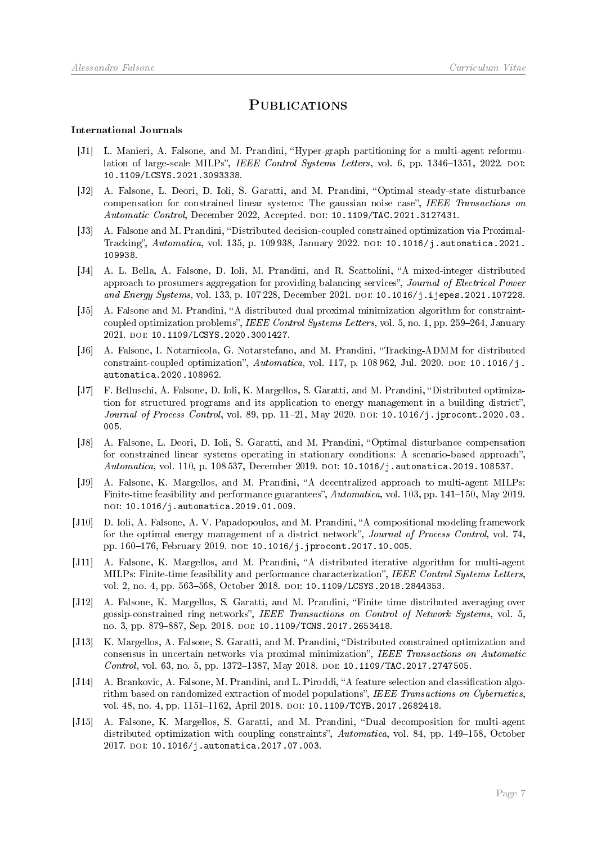# **PUBLICATIONS**

### International Journals

- [J1] L. Manieri, A. Falsone, and M. Prandini, "Hyper-graph partitioning for a multi-agent reformulation of large-scale MILPs", IEEE Control Systems Letters, vol. 6, pp. 1346-1351, 2022. DOI: [10.1109/LCSYS.2021.3093338.](https://doi.org/10.1109/LCSYS.2021.3093338)
- [J2] A. Falsone, L. Deori, D. Ioli, S. Garatti, and M. Prandini, "Optimal steady-state disturbance compensation for constrained linear systems: The gaussian noise case", IEEE Transactions on Automatic Control, December 2022, Accepted. doi: [10.1109/TAC.2021.3127431.](https://doi.org/10.1109/TAC.2021.3127431)
- [J3] A. Falsone and M. Prandini, "Distributed decision-coupled constrained optimization via Proximal-Tracking", Automatica, vol. 135, p. 109 938, January 2022. DOI: [10.1016/j.automatica.2021.](https://doi.org/10.1016/j.automatica.2021.109938) [109938.](https://doi.org/10.1016/j.automatica.2021.109938)
- [J4] A. L. Bella, A. Falsone, D. Ioli, M. Prandini, and R. Scattolini, "A mixed-integer distributed approach to prosumers aggregation for providing balancing services", Journal of Electrical Power and Energy Systems, vol. 133, p. 107 228, December 2021. DOI: [10.1016/j.ijepes.2021.107228.](https://doi.org/10.1016/j.ijepes.2021.107228)
- [J5] A. Falsone and M. Prandini, "A distributed dual proximal minimization algorithm for constraintcoupled optimization problems", IEEE Control Systems Letters, vol. 5, no. 1, pp. 259–264, January 2021. doi: [10.1109/LCSYS.2020.3001427.](https://doi.org/10.1109/LCSYS.2020.3001427)
- [J6] A. Falsone, I. Notarnicola, G. Notarstefano, and M. Prandini, Tracking-ADMM for distributed constraint-coupled optimization",  $Automatica$ , vol. 117, p. 108 962, Jul. 2020. Doi: [10.1016/j.](https://doi.org/10.1016/j.automatica.2020.108962) [automatica.2020.108962.](https://doi.org/10.1016/j.automatica.2020.108962)
- [J7] F. Belluschi, A. Falsone, D. Ioli, K. Margellos, S. Garatti, and M. Prandini, "Distributed optimization for structured programs and its application to energy management in a building district", Journal of Process Control, vol. 89, pp. 11-21, May 2020. DOI: [10.1016/j.jprocont.2020.03.](https://doi.org/10.1016/j.jprocont.2020.03.005) [005.](https://doi.org/10.1016/j.jprocont.2020.03.005)
- [J8] A. Falsone, L. Deori, D. Ioli, S. Garatti, and M. Prandini, "Optimal disturbance compensation for constrained linear systems operating in stationary conditions: A scenario-based approach", Automatica, vol. 110, p. 108537, December 2019. DOI: [10.1016/j.automatica.2019.108537.](https://doi.org/10.1016/j.automatica.2019.108537)
- [J9] A. Falsone, K. Margellos, and M. Prandini, "A decentralized approach to multi-agent MILPs: Finite-time feasibility and performance guarantees", Automatica, vol. 103, pp. 141–150, May 2019. DOI: [10.1016/j.automatica.2019.01.009.](https://doi.org/10.1016/j.automatica.2019.01.009)
- [J10] D. Ioli, A. Falsone, A. V. Papadopoulos, and M. Prandini, "A compositional modeling framework for the optimal energy management of a district network", Journal of Process Control, vol. 74, pp. 160-176, February 2019. DOI: [10.1016/j.jprocont.2017.10.005.](https://doi.org/10.1016/j.jprocont.2017.10.005)
- <span id="page-7-0"></span>[J11] A. Falsone, K. Margellos, and M. Prandini, "A distributed iterative algorithm for multi-agent MILPs: Finite-time feasibility and performance characterization", IEEE Control Systems Letters, vol. 2, no. 4, pp. 563-568, October 2018. DOI: [10.1109/LCSYS.2018.2844353.](https://doi.org/10.1109/LCSYS.2018.2844353)
- [J12] A. Falsone, K. Margellos, S. Garatti, and M. Prandini, "Finite time distributed averaging over gossip-constrained ring networks", IEEE Transactions on Control of Network Systems, vol. 5, no. 3, pp. 879-887, Sep. 2018. DOI: [10.1109/TCNS.2017.2653418.](https://doi.org/10.1109/TCNS.2017.2653418)
- [J13] K. Margellos, A. Falsone, S. Garatti, and M. Prandini, Distributed constrained optimization and consensus in uncertain networks via proximal minimization", IEEE Transactions on Automatic Control, vol. 63, no. 5, pp. 1372–1387, May 2018. DOI: [10.1109/TAC.2017.2747505.](https://doi.org/10.1109/TAC.2017.2747505)
- [J14] A. Brankovic, A. Falsone, M. Prandini, and L. Piroddi, "A feature selection and classification algorithm based on randomized extraction of model populations", IEEE Transactions on Cybernetics, vol. 48, no. 4, pp. 1151-1162, April 2018. DOI: [10.1109/TCYB.2017.2682418.](https://doi.org/10.1109/TCYB.2017.2682418)
- [J15] A. Falsone, K. Margellos, S. Garatti, and M. Prandini, "Dual decomposition for multi-agent distributed optimization with coupling constraints",  $Automatica$ , vol. 84, pp. 149–158, October 2017. DOI: [10.1016/j.automatica.2017.07.003.](https://doi.org/10.1016/j.automatica.2017.07.003)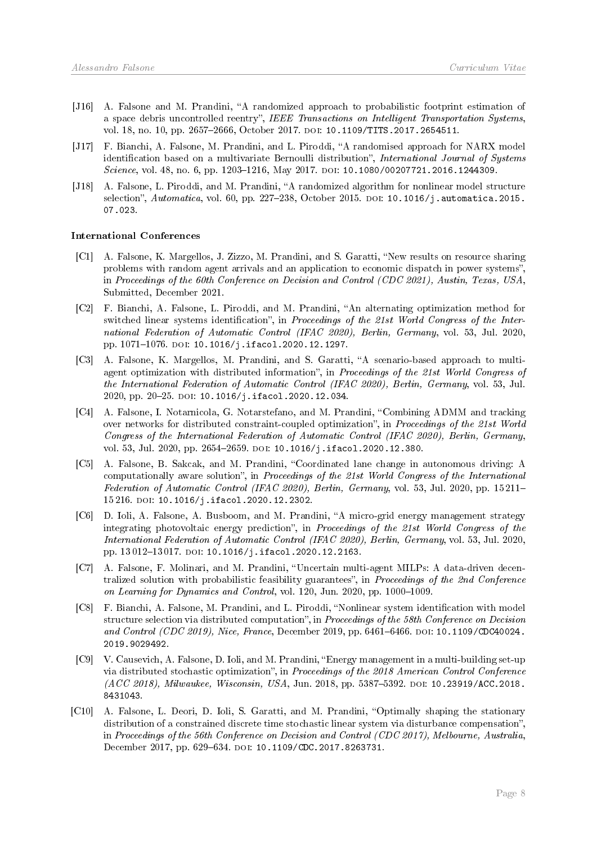- [J16] A. Falsone and M. Prandini, "A randomized approach to probabilistic footprint estimation of a space debris uncontrolled reentry", IEEE Transactions on Intelligent Transportation Systems, vol. 18, no. 10, pp. 2657-2666, October 2017. DOI: [10.1109/TITS.2017.2654511.](https://doi.org/10.1109/TITS.2017.2654511)
- [J17] F. Bianchi, A. Falsone, M. Prandini, and L. Piroddi, "A randomised approach for NARX model identification based on a multivariate Bernoulli distribution", International Journal of Systems Science, vol. 48, no. 6, pp. 1203-1216, May 2017. DOI: [10.1080/00207721.2016.1244309.](https://doi.org/10.1080/00207721.2016.1244309)
- [J18] A. Falsone, L. Piroddi, and M. Prandini, "A randomized algorithm for nonlinear model structure selection",  $Automatica$ , vol. 60, pp. 227-238, October 2015. DOI: [10.1016/j.automatica.2015.](https://doi.org/10.1016/j.automatica.2015.07.023) [07.023.](https://doi.org/10.1016/j.automatica.2015.07.023)

### International Conferences

- [C1] A. Falsone, K. Margellos, J. Zizzo, M. Prandini, and S. Garatti, "New results on resource sharing problems with random agent arrivals and an application to economic dispatch in power systems", in Proceedings of the 60th Conference on Decision and Control (CDC 2021), Austin, Texas, USA, Submitted, December 2021.
- [C2] F. Bianchi, A. Falsone, L. Piroddi, and M. Prandini, "An alternating optimization method for switched linear systems identification", in Proceedings of the 21st World Congress of the International Federation of Automatic Control (IFAC 2020), Berlin, Germany, vol. 53, Jul. 2020, pp. 1071-1076. DOI: [10.1016/j.ifacol.2020.12.1297.](https://doi.org/10.1016/j.ifacol.2020.12.1297)
- [C3] A. Falsone, K. Margellos, M. Prandini, and S. Garatti, "A scenario-based approach to multiagent optimization with distributed information", in Proceedings of the 21st World Congress of the International Federation of Automatic Control (IFAC 2020), Berlin, Germany, vol. 53, Jul. 2020, pp. 20-25. DOI: [10.1016/j.ifacol.2020.12.034.](https://doi.org/10.1016/j.ifacol.2020.12.034)
- [C4] A. Falsone, I. Notarnicola, G. Notarstefano, and M. Prandini, "Combining ADMM and tracking over networks for distributed constraint-coupled optimization", in Proceedings of the 21st World Congress of the International Federation of Automatic Control (IFAC 2020), Berlin, Germany, vol. 53, Jul. 2020, pp. 2654-2659. DOI: [10.1016/j.ifacol.2020.12.380.](https://doi.org/10.1016/j.ifacol.2020.12.380)
- [C5] A. Falsone, B. Sakcak, and M. Prandini, "Coordinated lane change in autonomous driving: A computationally aware solution", in Proceedings of the 21st World Congress of the International Federation of Automatic Control (IFAC 2020), Berlin, Germany, vol. 53, Jul. 2020, pp. 15 211-15 216. doi: [10.1016/j.ifacol.2020.12.2302.](https://doi.org/10.1016/j.ifacol.2020.12.2302)
- [C6] D. Ioli, A. Falsone, A. Busboom, and M. Prandini, "A micro-grid energy management strategy integrating photovoltaic energy prediction", in Proceedings of the 21st World Congress of the International Federation of Automatic Control (IFAC 2020), Berlin, Germany, vol. 53, Jul. 2020, pp. 13012-13017. DOI: [10.1016/j.ifacol.2020.12.2163.](https://doi.org/10.1016/j.ifacol.2020.12.2163)
- [C7] A. Falsone, F. Molinari, and M. Prandini, Uncertain multi-agent MILPs: A data-driven decentralized solution with probabilistic feasibility guarantees", in Proceedings of the 2nd Conference on Learning for Dynamics and Control, vol. 120, Jun. 2020, pp. 1000-1009.
- [C8] F. Bianchi, A. Falsone, M. Prandini, and L. Piroddi, "Nonlinear system identification with model structure selection via distributed computation", in Proceedings of the 58th Conference on Decision and Control (CDC 2019), Nice, France, December 2019, pp. 6461-6466. pol: [10.1109/CDC40024.](https://doi.org/10.1109/CDC40024.2019.9029492) [2019.9029492.](https://doi.org/10.1109/CDC40024.2019.9029492)
- [C9] V. Causevich, A. Falsone, D. Ioli, and M. Prandini, Energy management in a multi-building set-up via distributed stochastic optimization", in Proceedings of the 2018 American Control Conference (ACC 2018), Milwaukee, Wisconsin, USA, Jun. 2018, pp. 5387-5392. DOI: [10.23919/ACC.2018.](https://doi.org/10.23919/ACC.2018.8431043) [8431043.](https://doi.org/10.23919/ACC.2018.8431043)
- [C10] A. Falsone, L. Deori, D. Ioli, S. Garatti, and M. Prandini, Optimally shaping the stationary distribution of a constrained discrete time stochastic linear system via disturbance compensation", in Proceedings of the 56th Conference on Decision and Control (CDC 2017), Melbourne, Australia, December 2017, pp. 629-634. DOI: [10.1109/CDC.2017.8263731.](https://doi.org/10.1109/CDC.2017.8263731)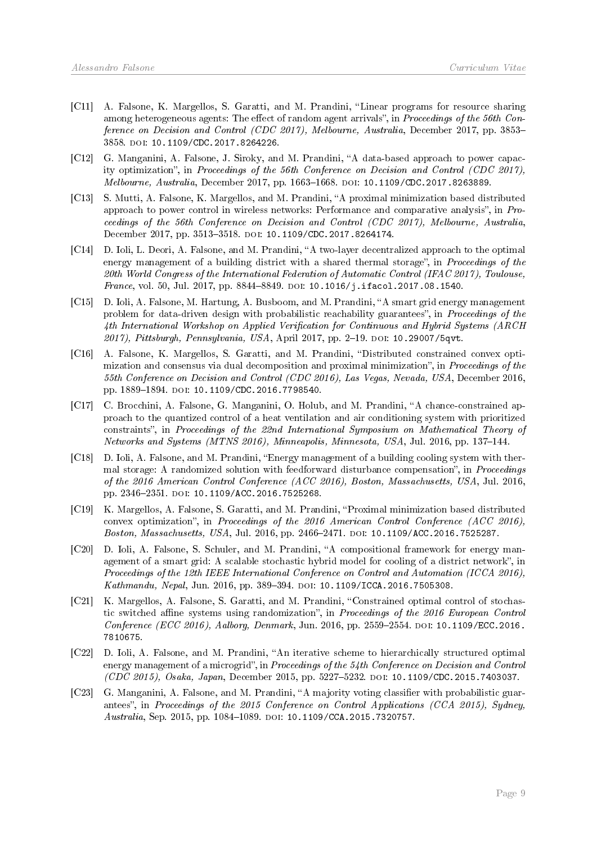- [C11] A. Falsone, K. Margellos, S. Garatti, and M. Prandini, "Linear programs for resource sharing among heterogeneous agents: The effect of random agent arrivals", in *Proceedings of the 56th Con*ference on Decision and Control (CDC 2017), Melbourne, Australia, December 2017, pp. 3853-3858. doi: [10.1109/CDC.2017.8264226.](https://doi.org/10.1109/CDC.2017.8264226)
- [C12] G. Manganini, A. Falsone, J. Siroky, and M. Prandini, "A data-based approach to power capacity optimization", in Proceedings of the 56th Conference on Decision and Control (CDC 2017), Melbourne, Australia, December 2017, pp. 1663-1668. poi: [10.1109/CDC.2017.8263889.](https://doi.org/10.1109/CDC.2017.8263889)
- [C13] S. Mutti, A. Falsone, K. Margellos, and M. Prandini, "A proximal minimization based distributed approach to power control in wireless networks: Performance and comparative analysis", in  $Pro$ ceedings of the 56th Conference on Decision and Control (CDC 2017), Melbourne, Australia, December 2017, pp. 3513-3518. DOI: [10.1109/CDC.2017.8264174.](https://doi.org/10.1109/CDC.2017.8264174)
- [C14] D. Ioli, L. Deori, A. Falsone, and M. Prandini, "A two-layer decentralized approach to the optimal energy management of a building district with a shared thermal storage", in Proceedings of the 20th World Congress of the International Federation of Automatic Control (IFAC 2017), Toulouse, France, vol. 50, Jul. 2017, pp. 8844-8849. poi:  $10.1016/j.i,facol.2017.08.1540$ .
- [C15] D. Ioli, A. Falsone, M. Hartung, A. Busboom, and M. Prandini, "A smart grid energy management problem for data-driven design with probabilistic reachability guarantees", in Proceedings of the 4th International Workshop on Applied Verification for Continuous and Hybrid Systems (ARCH 2017), Pittsburgh, Pennsylvania, USA, April 2017, pp. 2-19. DOI: [10.29007/5qvt.](https://doi.org/10.29007/5qvt)
- [C16] A. Falsone, K. Margellos, S. Garatti, and M. Prandini, "Distributed constrained convex optimization and consensus via dual decomposition and proximal minimization", in Proceedings of the 55th Conference on Decision and Control (CDC 2016), Las Vegas, Nevada, USA, December 2016, pp. 1889-1894. DOI: [10.1109/CDC.2016.7798540.](https://doi.org/10.1109/CDC.2016.7798540)
- [C17] C. Brocchini, A. Falsone, G. Manganini, O. Holub, and M. Prandini, "A chance-constrained approach to the quantized control of a heat ventilation and air conditioning system with prioritized constraints", in Proceedings of the 22nd International Symposium on Mathematical Theory of Networks and Systems (MTNS 2016), Minneapolis, Minnesota, USA, Jul. 2016, pp. 137-144.
- [C18] D. Ioli, A. Falsone, and M. Prandini, "Energy management of a building cooling system with the mal storage: A randomized solution with feedforward disturbance compensation", in Proceedings of the 2016 American Control Conference (ACC 2016), Boston, Massachusetts, USA, Jul. 2016, pp. 2346-2351. DOI: [10.1109/ACC.2016.7525268.](https://doi.org/10.1109/ACC.2016.7525268)
- [C19] K. Margellos, A. Falsone, S. Garatti, and M. Prandini, Proximal minimization based distributed convex optimization", in Proceedings of the 2016 American Control Conference (ACC 2016), Boston, Massachusetts, USA, Jul. 2016, pp. 2466-2471. DOI: [10.1109/ACC.2016.7525287.](https://doi.org/10.1109/ACC.2016.7525287)
- [C20] D. Ioli, A. Falsone, S. Schuler, and M. Prandini, "A compositional framework for energy management of a smart grid: A scalable stochastic hybrid model for cooling of a district network", in Proceedings of the 12th IEEE International Conference on Control and Automation (ICCA 2016), Kathmandu, Nepal, Jun. 2016, pp. 389-394. DOI: [10.1109/ICCA.2016.7505308.](https://doi.org/10.1109/ICCA.2016.7505308)
- [C21] K. Margellos, A. Falsone, S. Garatti, and M. Prandini, "Constrained optimal control of stochastic switched affine systems using randomization", in Proceedings of the 2016 European Control  $Conference (ECC 2016), Aalborg, Denmark, Jun. 2016, pp. 2559-2554. DOI: 10.1109/ECC.2016.$  $Conference (ECC 2016), Aalborg, Denmark, Jun. 2016, pp. 2559-2554. DOI: 10.1109/ECC.2016.$ [7810675.](https://doi.org/10.1109/ECC.2016.7810675)
- [C22] D. Ioli, A. Falsone, and M. Prandini, "An iterative scheme to hierarchically structured optimal energy management of a microgrid", in Proceedings of the 54th Conference on Decision and Control (CDC 2015), Osaka, Japan, December 2015, pp. 52275232. doi: [10.1109/CDC.2015.7403037.](https://doi.org/10.1109/CDC.2015.7403037)
- [C23] G. Manganini, A. Falsone, and M. Prandini, "A majority voting classifier with probabilistic guarantees", in Proceedings of the 2015 Conference on Control Applications (CCA 2015), Sydney, Australia, Sep. 2015, pp. 1084-1089. DOI: [10.1109/CCA.2015.7320757.](https://doi.org/10.1109/CCA.2015.7320757)